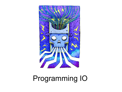# **Programming IO**

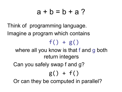### $a + b = b + a$ ?

Think of programming language. Imagine a program which contains  $f() + g()$ where all you know is that f and g both return integers Can you safely swap f and g?  $g() + f()$ Or can they be computed in parallel?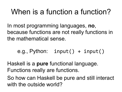# When is a function a function?

In most programming languages, **no**, because functions are not really functions in the mathematical sense.

e.g., Python:  $input() + input()$ 

Haskell is a **pure** functional language. Functions really are functions.

So how can Haskell be pure and still interact with the outside world?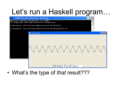## Let's run a Haskell program...



• What's the type of that result???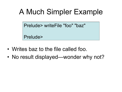# A Much Simpler Example

Prelude> writeFile "foo" "baz"

Prelude>

- Writes baz to the file called foo.
- No result displayed—wonder why not?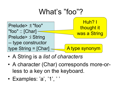

- A String is a *list of characters*
- A character (Char) corresponds more-orless to a key on the keyboard.
- Examples: 'a', '1', ' '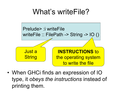# What's writeFile?



• When GHCi finds an expression of IO type, it *obeys the instructions* instead of printing them.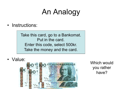# An Analogy

• Instructions:

Take this card, go to a Bankomat. Put in the card. Enter this code, select 500kr. Take the money and the card.

• Value:



Which would you rather have?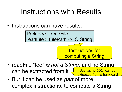# Instructions with Results

• Instructions can have results:

Prelude> :i readFile readFile :: FilePath -> IO String

> Instructions for computing a String

- readFile "foo" *is not a String*, and no String can be extracted from it  $\frac{1}{2}$  Just as no 500:- can be m a bank card
- But it can be used as *part* of more complex instructions, to compute a String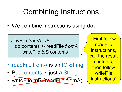# Combining Instructions

• We combine instructions using **do:** 

copyFile *fromA toB* = **do** contents <- readFile *fromA* writeFile *toB* contents

- readFile fromA is an IO String
- But contents is just a String
- writeFile toB (readFile fromA)

"First follow readFile instructions, call the result contents, then follow **writeFile** instructions"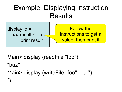#### Example: Displaying Instruction Results



Main> display (readFile "foo")

"baz"

Main> display (writeFile "foo" "bar") ()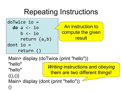# Repeating Instructions



An instruction to compute the given result

Main> display (doTwice (print "hello"))

"hello" "hello"

 $((),())$ 

()

*Writing* instructions and *obeying* them are two different things!

Main> display (dont (print "hello"))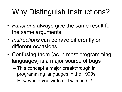# Why Distinguish Instructions?

- *Functions* always give the same result for the same arguments
- *Instructions* can behave differently on different occasions
- Confusing them (as in most programming languages) is a major source of bugs
	- This concept a major breakthrough in programming languages in the 1990s
	- How would you write doTwice in C?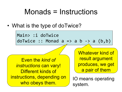## Monads = Instructions

• What is the type of doTwice?

Main> :i doTwice doTwice :: Monad  $a \Rightarrow a \ b \Rightarrow a \ (b,b)$ 

Even the *kind of instructions* can vary! Different kinds of instructions, depending on uctions, deperiulity on <br>who obeys them.<br>who obeys them.

Whatever kind of result argument produces, we get a pair of them

system.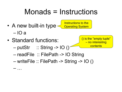# Monads = Instructions

- A new built-in type – IO a Instructions to the Operating System
- Standard functions:

– …

 $-$  putStr  $\therefore$  String -> IO ()

() is the "empty tuple" – no interesting **contents** 

- readFile :: FilePath -> IO String
- writeFile :: FilePath -> String -> IO ()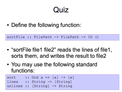## Quiz

• Define the following function:

ones sortFile :: FilePath  $\rightarrow$  FilePath  $\rightarrow$  IO ()

- "sortFile file1 file2" reads the lines of file1, sorts them, and writes the result to file2  $r = \frac{1}{2}$
- You may use the following standard functions:  $\overline{\phantom{a}}$  sorted  $\overline{\phantom{a}}$  ,  $\overline{\phantom{a}}$  ,  $\overline{\phantom{a}}$  ,  $\overline{\phantom{a}}$  ,  $\overline{\phantom{a}}$  ,  $\overline{\phantom{a}}$  ,  $\overline{\phantom{a}}$  ,  $\overline{\phantom{a}}$  ,  $\overline{\phantom{a}}$  ,  $\overline{\phantom{a}}$  ,  $\overline{\phantom{a}}$  ,  $\overline{\phantom{a}}$  ,  $\overline{\phantom{a}}$  ,  $\overline{\phantom{a}}$  ,  $\overline{\phant$

| sort  | :: Ord a => [a] -> [a]                   |
|-------|------------------------------------------|
| lines | $:$ String $\rightarrow$ [String]        |
|       | unlines :: $[String] \rightarrow String$ |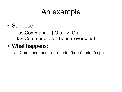## An example

• Suppose:

 lastCommand :: [IO a] -> IO a lastCommand ios = head (reverse io)

• What happens:

lastCommand [print "apa", print "bepa", print "cepa"]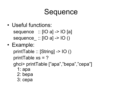## **Sequence**

- Useful functions: sequence :: [IO a] -> IO [a] sequence  $:: [IO a] \rightarrow [O ()$
- Example:

printTable :: [String] -> IO () printTable xs = ?

ghci> printTable ["apa","bepa","cepa"]

- 1: apa
- 2: bepa
- 3: cepa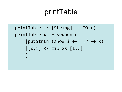## printTable

 $printTable :: [String] \rightarrow IO()$ printTable xs = sequence\_ [putStrLn (show i ++ ":" ++  $x$ )  $|(x,i)$  <- zip xs  $[1..]$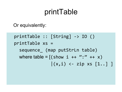## printTable

Or equivalently:

 $printTable :: [String] \rightarrow IO()$ printTable xs = sequence\_ (map putStrLn table) where table =  $[($  show  $i +$   $+$  ":"  $++$  x)  $|(x,i)| \leftarrow zip xs [1..]$